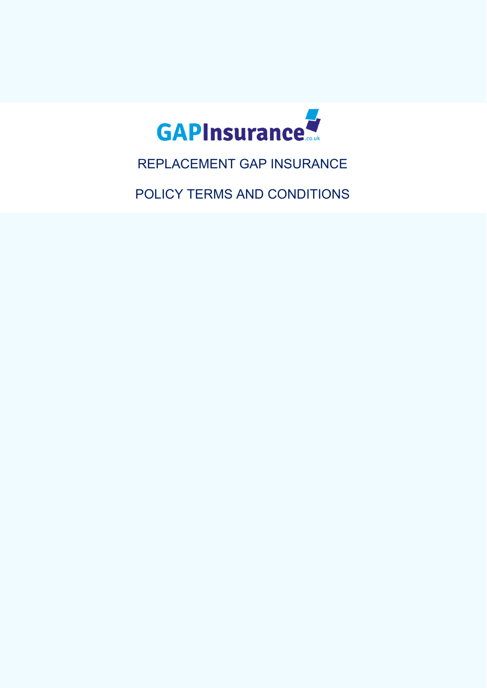

REPLACEMENT GAP INSURANCE

POLICY TERMS AND CONDITIONS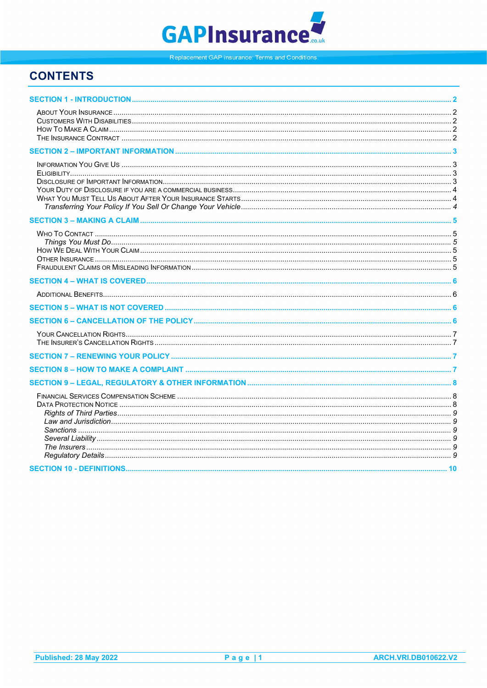# **GAPInsurance**

Replacement GAP insurance: Terms and Conditions.

# **CONTENTS**

<span id="page-1-0"></span>

| <b>SECTION 10 - DEFINITIONS</b> | 10 |
|---------------------------------|----|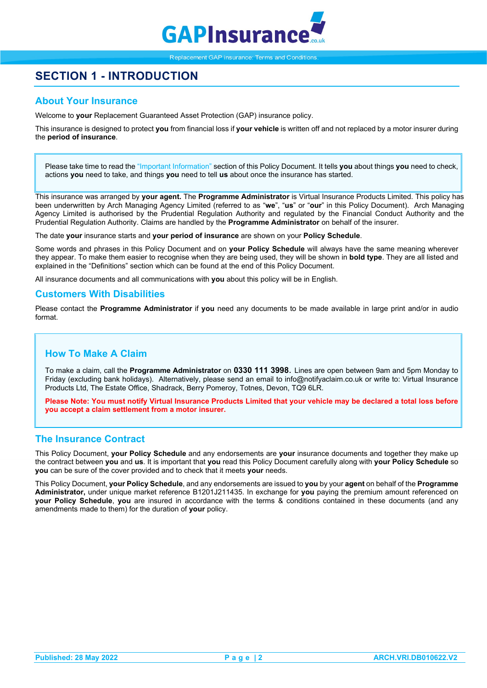

# **SECTION 1 - INTRODUCTION**

### <span id="page-2-0"></span>**About Your Insurance**

Welcome to **your** Replacement Guaranteed Asset Protection (GAP) insurance policy.

This insurance is designed to protect **you** from financial loss if **your vehicle** is written off and not replaced by a motor insurer during the **period of insurance**.

Please take time to read the "Important Information" section of this Policy Document. It tells **you** about things **you** need to check, actions **you** need to take, and things **you** need to tell **us** about once the insurance has started.

This insurance was arranged by **your agent.** The **Programme Administrator** is Virtual Insurance Products Limited. This policy has been underwritten by Arch Managing Agency Limited (referred to as "**we**", "**us**" or "**our**" in this Policy Document). Arch Managing Agency Limited is authorised by the Prudential Regulation Authority and regulated by the Financial Conduct Authority and the Prudential Regulation Authority. Claims are handled by the **Programme Administrator** on behalf of the insurer.

The date **your** insurance starts and **your period of insurance** are shown on your **Policy Schedule**.

Some words and phrases in this Policy Document and on **your Policy Schedule** will always have the same meaning wherever they appear. To make them easier to recognise when they are being used, they will be shown in **bold type**. They are all listed and explained in the "Definitions" section which can be found at the end of this Policy Document.

All insurance documents and all communications with **you** about this policy will be in English.

### <span id="page-2-1"></span>**Customers With Disabilities**

Please contact the **Programme Administrator** if **you** need any documents to be made available in large print and/or in audio format.

### <span id="page-2-2"></span>**How To Make A Claim**

To make a claim, call the **Programme Administrator** on **0330 111 3998**. Lines are open between 9am and 5pm Monday to Friday (excluding bank holidays). Alternatively, please send an email to info@notifyaclaim.co.uk or write to: Virtual Insurance Products Ltd, The Estate Office, Shadrack, Berry Pomeroy, Totnes, Devon, TQ9 6LR.

**Please Note: You must notify Virtual Insurance Products Limited that your vehicle may be declared a total loss before you accept a claim settlement from a motor insurer.**

## <span id="page-2-3"></span>**The Insurance Contract**

This Policy Document, **your Policy Schedule** and any endorsements are **your** insurance documents and together they make up the contract between **you** and **us**. It is important that **you** read this Policy Document carefully along with **your Policy Schedule** so **you** can be sure of the cover provided and to check that it meets **your** needs.

This Policy Document, **your Policy Schedule**, and any endorsements are issued to **you** by your **agent** on behalf of the **Programme Administrator,** under unique market reference B1201J211435. In exchange for **you** paying the premium amount referenced on **your Policy Schedule**, **you** are insured in accordance with the terms & conditions contained in these documents (and any amendments made to them) for the duration of **your** policy.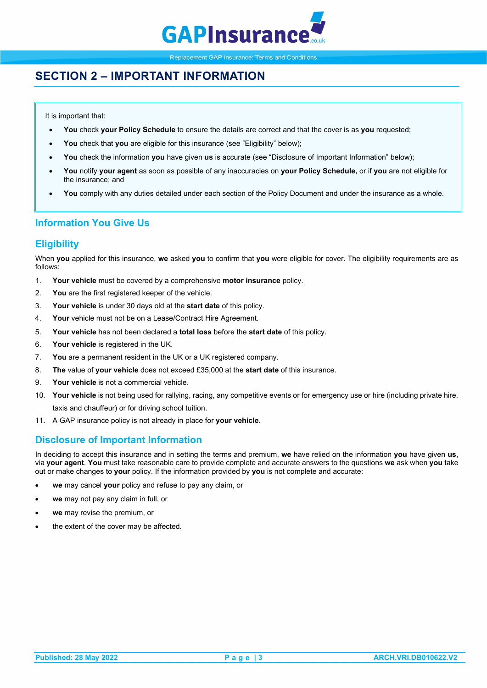

# <span id="page-3-0"></span>**SECTION 2 – IMPORTANT INFORMATION**

It is important that:

- **You** check **your Policy Schedule** to ensure the details are correct and that the cover is as **you** requested;
- **You** check that **you** are eligible for this insurance (see "Eligibility" below);
- **You** check the information **you** have given **us** is accurate (see "Disclosure of Important Information" below);
- **You** notify **your agent** as soon as possible of any inaccuracies on **your Policy Schedule,** or if **you** are not eligible for the insurance; and
- **You** comply with any duties detailed under each section of the Policy Document and under the insurance as a whole.

### <span id="page-3-1"></span>**Information You Give Us**

### <span id="page-3-2"></span>**Eligibility**

When **you** applied for this insurance, **we** asked **you** to confirm that **you** were eligible for cover. The eligibility requirements are as follows:

- 1. **Your vehicle** must be covered by a comprehensive **motor insurance** policy.
- 2. **You** are the first registered keeper of the vehicle.
- 3. **Your vehicle** is under 30 days old at the **start date** of this policy.
- 4. **Your** vehicle must not be on a Lease/Contract Hire Agreement.
- 5. **Your vehicle** has not been declared a **total loss** before the **start date** of this policy.
- 6. **Your vehicle** is registered in the UK.
- 7. **You** are a permanent resident in the UK or a UK registered company.
- 8. **The** value of **your vehicle** does not exceed £35,000 at the **start date** of this insurance.
- 9. **Your vehicle** is not a commercial vehicle.
- 10. **Your vehicle** is not being used for rallying, racing, any competitive events or for emergency use or hire (including private hire, taxis and chauffeur) or for driving school tuition.
- 11. A GAP insurance policy is not already in place for **your vehicle.**

# <span id="page-3-3"></span>**Disclosure of Important Information**

In deciding to accept this insurance and in setting the terms and premium, **we** have relied on the information **you** have given **us**, via **your agent**. **You** must take reasonable care to provide complete and accurate answers to the questions **we** ask when **you** take out or make changes to **your** policy. If the information provided by **you** is not complete and accurate:

- **we** may cancel **your** policy and refuse to pay any claim, or
- **we** may not pay any claim in full, or
- **we** may revise the premium, or
- the extent of the cover may be affected.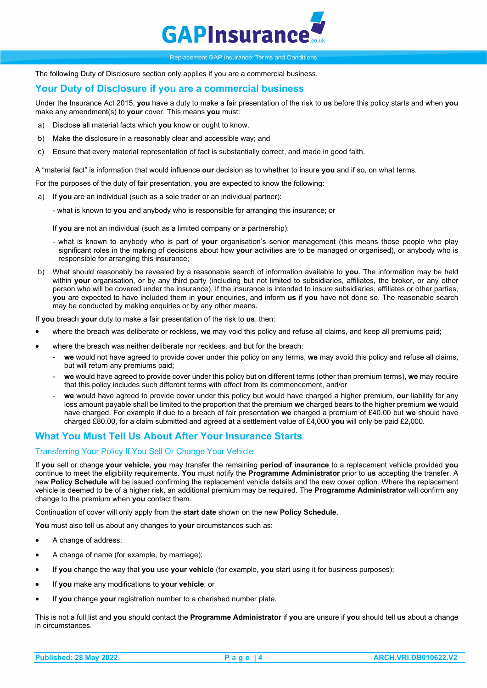

The following Duty of Disclosure section only applies if you are a commercial business.

### <span id="page-4-0"></span>**Your Duty of Disclosure if you are a commercial business**

Under the Insurance Act 2015, **you** have a duty to make a fair presentation of the risk to **us** before this policy starts and when **you**  make any amendment(s) to **your** cover. This means **you** must:

- a) Disclose all material facts which **you** know or ought to know.
- b) Make the disclosure in a reasonably clear and accessible way; and
- c) Ensure that every material representation of fact is substantially correct, and made in good faith.

A "material fact" is information that would influence **our** decision as to whether to insure **you** and if so, on what terms.

For the purposes of the duty of fair presentation, **you** are expected to know the following:

- a) If **you** are an individual (such as a sole trader or an individual partner):
	- what is known to **you** and anybody who is responsible for arranging this insurance; or

If **you** are not an individual (such as a limited company or a partnership):

- what is known to anybody who is part of **your** organisation's senior management (this means those people who play significant roles in the making of decisions about how **your** activities are to be managed or organised), or anybody who is responsible for arranging this insurance;
- b) What should reasonably be revealed by a reasonable search of information available to **you**. The information may be held within **your** organisation, or by any third party (including but not limited to subsidiaries, affiliates, the broker, or any other person who will be covered under the insurance). If the insurance is intended to insure subsidiaries, affiliates or other parties, **you** are expected to have included them in **your** enquiries, and inform **us** if **you** have not done so. The reasonable search may be conducted by making enquiries or by any other means.

If **you** breach **your** duty to make a fair presentation of the risk to **us**, then:

- where the breach was deliberate or reckless, **we** may void this policy and refuse all claims, and keep all premiums paid;
- where the breach was neither deliberate nor reckless, and but for the breach:
	- we would not have agreed to provide cover under this policy on any terms, we may avoid this policy and refuse all claims, but will return any premiums paid;
	- **we** would have agreed to provide cover under this policy but on different terms (other than premium terms), **we** may require that this policy includes such different terms with effect from its commencement, and/or
	- **we** would have agreed to provide cover under this policy but would have charged a higher premium, **our** liability for any loss amount payable shall be limited to the proportion that the premium **we** charged bears to the higher premium **we** would have charged. For example if due to a breach of fair presentation **we** charged a premium of £40.00 but **we** should have charged £80.00, for a claim submitted and agreed at a settlement value of £4,000 **you** will only be paid £2,000*.*

# <span id="page-4-1"></span>**What You Must Tell Us About After Your Insurance Starts**

### <span id="page-4-2"></span>Transferring Your Policy If You Sell Or Change Your Vehicle

If **you** sell or change **your vehicle**, **you** may transfer the remaining **period of insurance** to a replacement vehicle provided **you** continue to meet the eligibility requirements. **You** must notify the **Programme Administrator** prior to **us** accepting the transfer. A new **Policy Schedule** will be issued confirming the replacement vehicle details and the new cover option. Where the replacement vehicle is deemed to be of a higher risk, an additional premium may be required. The **Programme Administrator** will confirm any change to the premium when **you** contact them.

Continuation of cover will only apply from the **start date** shown on the new **Policy Schedule**.

**You** must also tell us about any changes to **your** circumstances such as:

- A change of address;
- A change of name (for example, by marriage);
- If **you** change the way that **you** use **your vehicle** (for example, **you** start using it for business purposes);
- If **you** make any modifications to **your vehicle**; or
- If **you** change **your** registration number to a cherished number plate.

This is not a full list and **you** should contact the **Programme Administrator** if **you** are unsure if **you** should tell **us** about a change in circumstances.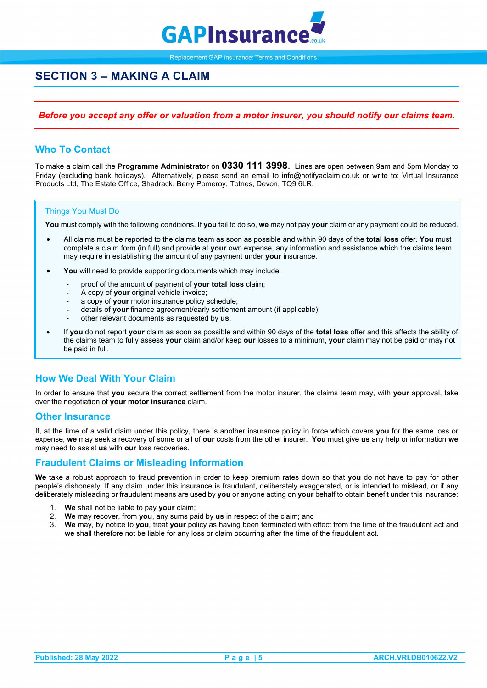

# <span id="page-5-0"></span>**SECTION 3 – MAKING A CLAIM**

### *Before you accept any offer or valuation from a motor insurer, you should notify our claims team.*

### <span id="page-5-1"></span>**Who To Contact**

To make a claim call the **Programme Administrator** on **0330 111 3998**. Lines are open between 9am and 5pm Monday to Friday (excluding bank holidays). Alternatively, please send an email to info@notifyaclaim.co.uk or write to: Virtual Insurance Products Ltd, The Estate Office, Shadrack, Berry Pomeroy, Totnes, Devon, TQ9 6LR.

### <span id="page-5-2"></span>Things You Must Do

**You** must comply with the following conditions. If **you** fail to do so, **we** may not pay **your** claim or any payment could be reduced.

- All claims must be reported to the claims team as soon as possible and within 90 days of the **total loss** offer. **You** must complete a claim form (in full) and provide at **your** own expense, any information and assistance which the claims team may require in establishing the amount of any payment under **your** insurance.
- You will need to provide supporting documents which may include:
	- proof of the amount of payment of **your total loss** claim;
	- A copy of **your** original vehicle invoice;
	- a copy of **your** motor insurance policy schedule;
	- details of **your** finance agreement/early settlement amount (if applicable);
	- other relevant documents as requested by **us**.
- If **you** do not report **your** claim as soon as possible and within 90 days of the **total loss** offer and this affects the ability of the claims team to fully assess **your** claim and/or keep **our** losses to a minimum, **your** claim may not be paid or may not be paid in full.

### <span id="page-5-3"></span>**How We Deal With Your Claim**

In order to ensure that **you** secure the correct settlement from the motor insurer, the claims team may, with **your** approval, take over the negotiation of **your motor insurance** claim.

### <span id="page-5-4"></span>**Other Insurance**

If, at the time of a valid claim under this policy, there is another insurance policy in force which covers **you** for the same loss or expense, **we** may seek a recovery of some or all of **our** costs from the other insurer. **You** must give **us** any help or information **we** may need to assist **us** with **our** loss recoveries.

### <span id="page-5-5"></span>**Fraudulent Claims or Misleading Information**

**We** take a robust approach to fraud prevention in order to keep premium rates down so that **you** do not have to pay for other people's dishonesty. If any claim under this insurance is fraudulent, deliberately exaggerated, or is intended to mislead, or if any deliberately misleading or fraudulent means are used by **you** or anyone acting on **your** behalf to obtain benefit under this insurance:

- 1. **We** shall not be liable to pay **your** claim;
- 2. **We** may recover, from **you**, any sums paid by **us** in respect of the claim; and
- 3. **We** may, by notice to **you**, treat **your** policy as having been terminated with effect from the time of the fraudulent act and **we** shall therefore not be liable for any loss or claim occurring after the time of the fraudulent act.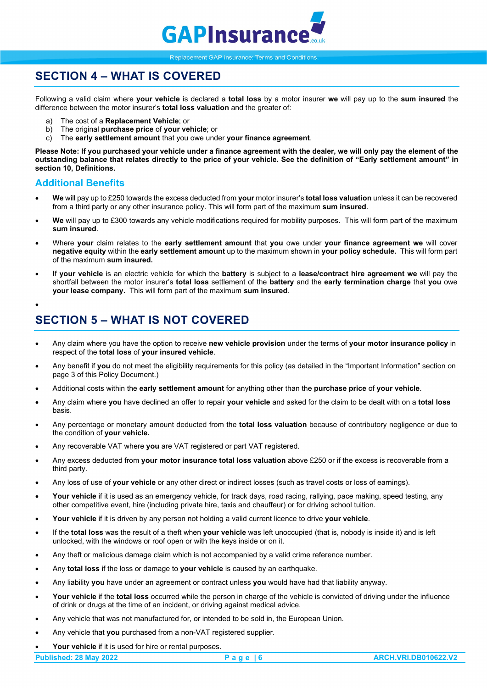

# <span id="page-6-0"></span>**SECTION 4 – WHAT IS COVERED**

Following a valid claim where **your vehicle** is declared a **total loss** by a motor insurer **we** will pay up to the **sum insured** the difference between the motor insurer's **total loss valuation** and the greater of:

- a) The cost of a **Replacement Vehicle**; or
- b) The original **purchase price** of **your vehicle**; or
- c) The **early settlement amount** that you owe under **your finance agreement**.

**Please Note: If you purchased your vehicle under a finance agreement with the dealer, we will only pay the element of the outstanding balance that relates directly to the price of your vehicle. See the definition of "Early settlement amount" in section 10, Definitions.** 

### <span id="page-6-1"></span>**Additional Benefits**

- **We** will pay up to £250 towards the excess deducted from **your** motor insurer's **total loss valuation** unless it can be recovered from a third party or any other insurance policy. This will form part of the maximum **sum insured**.
- **We** will pay up to £300 towards any vehicle modifications required for mobility purposes. This will form part of the maximum **sum insured**.
- Where **your** claim relates to the **early settlement amount** that **you** owe under **your finance agreement we** will cover **negative equity** within the **early settlement amount** up to the maximum shown in **your policy schedule.** This will form part of the maximum **sum insured.**
- If **your vehicle** is an electric vehicle for which the **battery** is subject to a **lease/contract hire agreement we** will pay the shortfall between the motor insurer's **total loss** settlement of the **battery** and the **early termination charge** that **you** owe **your lease company.** This will form part of the maximum **sum insured**.
- •

# <span id="page-6-2"></span>**SECTION 5 – WHAT IS NOT COVERED**

- <span id="page-6-3"></span>• Any claim where you have the option to receive **new vehicle provision** under the terms of **your motor insurance policy** in respect of the **total loss** of **your insured vehicle**.
- Any benefit if **you** do not meet the eligibility requirements for this policy (as detailed in the "Important Information" section on page 3 of this Policy Document.)
- Additional costs within the **early settlement amount** for anything other than the **purchase price** of **your vehicle**.
- Any claim where **you** have declined an offer to repair **your vehicle** and asked for the claim to be dealt with on a **total loss** basis.
- Any percentage or monetary amount deducted from the **total loss valuation** because of contributory negligence or due to the condition of **your vehicle.**
- Any recoverable VAT where **you** are VAT registered or part VAT registered.
- Any excess deducted from **your motor insurance total loss valuation** above £250 or if the excess is recoverable from a third party.
- Any loss of use of **your vehicle** or any other direct or indirect losses (such as travel costs or loss of earnings).
- Your vehicle if it is used as an emergency vehicle, for track days, road racing, rallying, pace making, speed testing, any other competitive event, hire (including private hire, taxis and chauffeur) or for driving school tuition.
- **Your vehicle** if it is driven by any person not holding a valid current licence to drive **your vehicle**.
- If the **total loss** was the result of a theft when **your vehicle** was left unoccupied (that is, nobody is inside it) and is left unlocked, with the windows or roof open or with the keys inside or on it.
- Any theft or malicious damage claim which is not accompanied by a valid crime reference number.
- Any **total loss** if the loss or damage to **your vehicle** is caused by an earthquake.
- Any liability **you** have under an agreement or contract unless **you** would have had that liability anyway.
- **Your vehicle** if the **total loss** occurred while the person in charge of the vehicle is convicted of driving under the influence of drink or drugs at the time of an incident, or driving against medical advice.
- Any vehicle that was not manufactured for, or intended to be sold in, the European Union.
- Any vehicle that **you** purchased from a non-VAT registered supplier.
- Your vehicle if it is used for hire or rental purposes.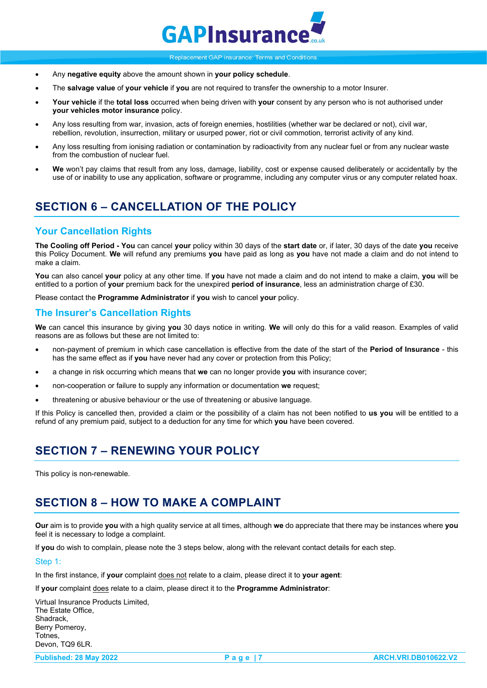

- Any **negative equity** above the amount shown in **your policy schedule**.
- The **salvage value** of **your vehicle** if **you** are not required to transfer the ownership to a motor Insurer.
- **Your vehicle** if the **total loss** occurred when being driven with **your** consent by any person who is not authorised under **your vehicles motor insurance** policy.
- Any loss resulting from war, invasion, acts of foreign enemies, hostilities (whether war be declared or not), civil war, rebellion, revolution, insurrection, military or usurped power, riot or civil commotion, terrorist activity of any kind.
- Any loss resulting from ionising radiation or contamination by radioactivity from any nuclear fuel or from any nuclear waste from the combustion of nuclear fuel.
- **We** won't pay claims that result from any loss, damage, liability, cost or expense caused deliberately or accidentally by the use of or inability to use any application, software or programme, including any computer virus or any computer related hoax.

# **SECTION 6 – CANCELLATION OF THE POLICY**

### <span id="page-7-0"></span>**Your Cancellation Rights**

**The Cooling off Period - You** can cancel **your** policy within 30 days of the **start date** or, if later, 30 days of the date **you** receive this Policy Document. **We** will refund any premiums **you** have paid as long as **you** have not made a claim and do not intend to make a claim.

**You** can also cancel **your** policy at any other time. If **you** have not made a claim and do not intend to make a claim, **you** will be entitled to a portion of **your** premium back for the unexpired **period of insurance**, less an administration charge of £30.

Please contact the **Programme Administrator** if **you** wish to cancel **your** policy.

### <span id="page-7-1"></span>**The Insurer's Cancellation Rights**

**We** can cancel this insurance by giving **you** 30 days notice in writing. **We** will only do this for a valid reason. Examples of valid reasons are as follows but these are not limited to:

- non-payment of premium in which case cancellation is effective from the date of the start of the **Period of Insurance** this has the same effect as if **you** have never had any cover or protection from this Policy;
- a change in risk occurring which means that **we** can no longer provide **you** with insurance cover;
- non-cooperation or failure to supply any information or documentation **we** request;
- threatening or abusive behaviour or the use of threatening or abusive language.

If this Policy is cancelled then, provided a claim or the possibility of a claim has not been notified to **us you** will be entitled to a refund of any premium paid, subject to a deduction for any time for which **you** have been covered.

# <span id="page-7-2"></span>**SECTION 7 – RENEWING YOUR POLICY**

This policy is non-renewable.

# <span id="page-7-3"></span>**SECTION 8 – HOW TO MAKE A COMPLAINT**

**Our** aim is to provide **you** with a high quality service at all times, although **we** do appreciate that there may be instances where **you** feel it is necessary to lodge a complaint.

If **you** do wish to complain, please note the 3 steps below, along with the relevant contact details for each step.

#### Step 1:

In the first instance, if **your** complaint does not relate to a claim, please direct it to **your agent**:

If **your** complaint does relate to a claim, please direct it to the **Programme Administrator**:

Virtual Insurance Products Limited, The Estate Office, Shadrack, Berry Pomeroy, **Totnes** Devon, TQ9 6LR.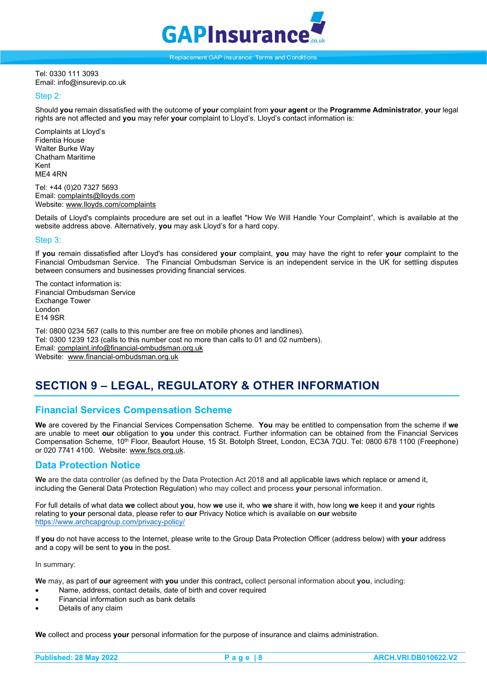

Tel: 0330 111 3093 Email: info@insurevip.co.uk

#### Step 2:

Should **you** remain dissatisfied with the outcome of **your** complaint from **your agent** or the **Programme Administrator**, **your** legal rights are not affected and **you** may refer **your** complaint to Lloyd's. Lloyd's contact information is:

Complaints at Lloyd's Fidentia House Walter Burke Way Chatham Maritime Kent ME4 4RN

Tel: +44 (0)20 7327 5693 Email[: complaints@lloyds.com](mailto:complaints@lloyds.com) Website[: www.lloyds.com/complaints](http://www.lloyds.com/complaints)

Details of Lloyd's complaints procedure are set out in a leaflet "How We Will Handle Your Complaint", which is available at the website address above. Alternatively, **you** may ask Lloyd's for a hard copy.

#### Step 3:

If **you** remain dissatisfied after Lloyd's has considered **your** complaint, **you** may have the right to refer **your** complaint to the Financial Ombudsman Service. The Financial Ombudsman Service is an independent service in the UK for settling disputes between consumers and businesses providing financial services.

The contact information is: Financial Ombudsman Service Exchange Tower London E14 9SR

Tel: 0800 0234 567 (calls to this number are free on mobile phones and landlines). Tel: 0300 1239 123 (calls to this number cost no more than calls to 01 and 02 numbers). Email[: complaint.info@financial-ombudsman.org.uk](mailto:complaint.info@financial-ombudsman.org.uk) Website: [www.financial-ombudsman.org.uk](http://www.financial-ombudsman.org.uk/)

# <span id="page-8-0"></span>**SECTION 9 – LEGAL, REGULATORY & OTHER INFORMATION**

### <span id="page-8-1"></span>**Financial Services Compensation Scheme**

**We** are covered by the Financial Services Compensation Scheme. **You** may be entitled to compensation from the scheme if **we**  are unable to meet **our** obligation to **you** under this contract. Further information can be obtained from the Financial Services Compensation Scheme, 10th Floor, Beaufort House, 15 St. Botolph Street, London, EC3A 7QU. Tel: 0800 678 1100 (Freephone) or 020 7741 4100. Website[: www.fscs.org.uk.](http://www.fscs.org.uk/)

### <span id="page-8-2"></span>**Data Protection Notice**

**We** are the data controller (as defined by the Data Protection Act 2018 and all applicable laws which replace or amend it, including the General Data Protection Regulation) who may collect and process **your** personal information.

For full details of what data **we** collect about **you**, how **we** use it, who **we** share it with, how long **we** keep it and **your** rights relating to **your** personal data, please refer to **our** Privacy Notice which is available on **our** website <https://www.archcapgroup.com/privacy-policy/>

If **you** do not have access to the Internet, please write to the Group Data Protection Officer (address below) with **your** address and a copy will be sent to **you** in the post.

In summary:

**We** may, as part of **our** agreement with **you** under this contract**,** collect personal information about **you**, including:

- Name, address, contact details, date of birth and cover required
- Financial information such as bank details
- Details of any claim

**We** collect and process **your** personal information for the purpose of insurance and claims administration.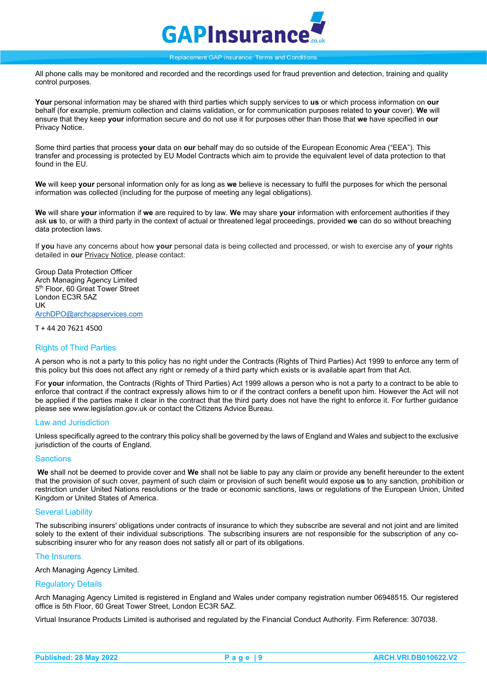

All phone calls may be monitored and recorded and the recordings used for fraud prevention and detection, training and quality control purposes.

**Your** personal information may be shared with third parties which supply services to **us** or which process information on **our** behalf (for example, premium collection and claims validation, or for communication purposes related to **your** cover). **We** will ensure that they keep **your** information secure and do not use it for purposes other than those that **we** have specified in **our** Privacy Notice.

Some third parties that process **your** data on **our** behalf may do so outside of the European Economic Area ("EEA"). This transfer and processing is protected by EU Model Contracts which aim to provide the equivalent level of data protection to that found in the EU.

**We** will keep **your** personal information only for as long as **we** believe is necessary to fulfil the purposes for which the personal information was collected (including for the purpose of meeting any legal obligations).

**We** will share **your** information if **we** are required to by law. **We** may share **your** information with enforcement authorities if they ask **us** to, or with a third party in the context of actual or threatened legal proceedings, provided **we** can do so without breaching data protection laws.

If **you** have any concerns about how **your** personal data is being collected and processed, or wish to exercise any of **your** rights detailed in **our** Privacy Notice, please contact:

Group Data Protection Officer Arch Managing Agency Limited 5<sup>th</sup> Floor, 60 Great Tower Street London EC3R 5AZ UK [ArchDPO@archcapservices.com](mailto:ArchDPO@archcapservices.com)

T + 44 20 7621 4500

#### <span id="page-9-0"></span>Rights of Third Parties

A person who is not a party to this policy has no right under the Contracts (Rights of Third Parties) Act 1999 to enforce any term of this policy but this does not affect any right or remedy of a third party which exists or is available apart from that Act.

For **your** information, the Contracts (Rights of Third Parties) Act 1999 allows a person who is not a party to a contract to be able to enforce that contract if the contract expressly allows him to or if the contract confers a benefit upon him. However the Act will not be applied if the parties make it clear in the contract that the third party does not have the right to enforce it. For further guidance please see www.legislation.gov.uk or contact the Citizens Advice Bureau.

#### <span id="page-9-1"></span>Law and Jurisdiction

Unless specifically agreed to the contrary this policy shall be governed by the laws of England and Wales and subject to the exclusive jurisdiction of the courts of England.

#### <span id="page-9-2"></span>**Sanctions**

**We** shall not be deemed to provide cover and **We** shall not be liable to pay any claim or provide any benefit hereunder to the extent that the provision of such cover, payment of such claim or provision of such benefit would expose **us** to any sanction, prohibition or restriction under United Nations resolutions or the trade or economic sanctions, laws or regulations of the European Union, United Kingdom or United States of America.

#### <span id="page-9-3"></span>Several Liability

The subscribing insurers' obligations under contracts of insurance to which they subscribe are several and not joint and are limited solely to the extent of their individual subscriptions. The subscribing insurers are not responsible for the subscription of any cosubscribing insurer who for any reason does not satisfy all or part of its obligations.

#### <span id="page-9-4"></span>The Insurers

Arch Managing Agency Limited.

#### <span id="page-9-5"></span>Regulatory Details

Arch Managing Agency Limited is registered in England and Wales under company registration number 06948515. Our registered office is 5th Floor, 60 Great Tower Street, London EC3R 5AZ.

<span id="page-9-6"></span>Virtual Insurance Products Limited is authorised and regulated by the Financial Conduct Authority. Firm Reference: 307038.